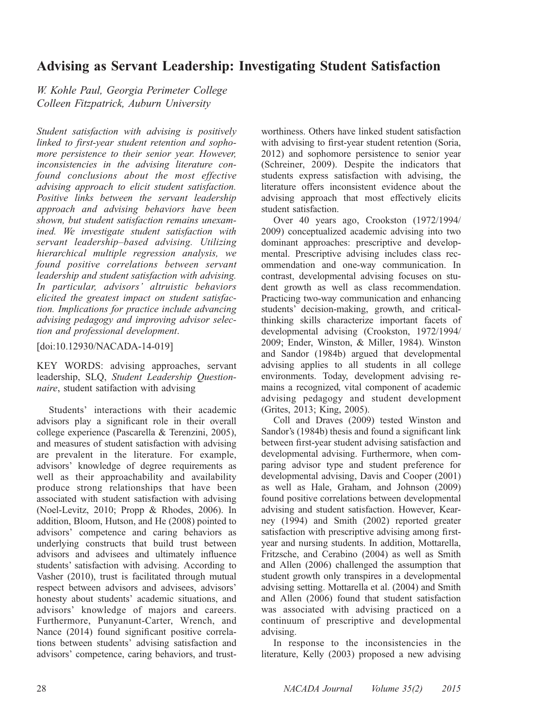# Advising as Servant Leadership: Investigating Student Satisfaction

W. Kohle Paul, Georgia Perimeter College Colleen Fitzpatrick, Auburn University

Student satisfaction with advising is positively linked to first-year student retention and sophomore persistence to their senior year. However, inconsistencies in the advising literature confound conclusions about the most effective advising approach to elicit student satisfaction. Positive links between the servant leadership approach and advising behaviors have been shown, but student satisfaction remains unexamined. We investigate student satisfaction with servant leadership–based advising. Utilizing hierarchical multiple regression analysis, we found positive correlations between servant leadership and student satisfaction with advising. In particular, advisors' altruistic behaviors elicited the greatest impact on student satisfaction. Implications for practice include advancing advising pedagogy and improving advisor selection and professional development.

[doi:10.12930/NACADA-14-019]

KEY WORDS: advising approaches, servant leadership, SLQ, Student Leadership Questionnaire, student satifaction with advising

Students' interactions with their academic advisors play a significant role in their overall college experience (Pascarella & Terenzini, 2005), and measures of student satisfaction with advising are prevalent in the literature. For example, advisors' knowledge of degree requirements as well as their approachability and availability produce strong relationships that have been associated with student satisfaction with advising (Noel-Levitz, 2010; Propp & Rhodes, 2006). In addition, Bloom, Hutson, and He (2008) pointed to advisors' competence and caring behaviors as underlying constructs that build trust between advisors and advisees and ultimately influence students' satisfaction with advising. According to Vasher (2010), trust is facilitated through mutual respect between advisors and advisees, advisors' honesty about students' academic situations, and advisors' knowledge of majors and careers. Furthermore, Punyanunt-Carter, Wrench, and Nance (2014) found significant positive correlations between students' advising satisfaction and advisors' competence, caring behaviors, and trustworthiness. Others have linked student satisfaction with advising to first-year student retention (Soria, 2012) and sophomore persistence to senior year (Schreiner, 2009). Despite the indicators that students express satisfaction with advising, the literature offers inconsistent evidence about the advising approach that most effectively elicits student satisfaction.

Over 40 years ago, Crookston (1972/1994/ 2009) conceptualized academic advising into two dominant approaches: prescriptive and developmental. Prescriptive advising includes class recommendation and one-way communication. In contrast, developmental advising focuses on student growth as well as class recommendation. Practicing two-way communication and enhancing students' decision-making, growth, and criticalthinking skills characterize important facets of developmental advising (Crookston, 1972/1994/ 2009; Ender, Winston, & Miller, 1984). Winston and Sandor (1984b) argued that developmental advising applies to all students in all college environments. Today, development advising remains a recognized, vital component of academic advising pedagogy and student development (Grites, 2013; King, 2005).

Coll and Draves (2009) tested Winston and Sandor's (1984b) thesis and found a significant link between first-year student advising satisfaction and developmental advising. Furthermore, when comparing advisor type and student preference for developmental advising, Davis and Cooper (2001) as well as Hale, Graham, and Johnson (2009) found positive correlations between developmental advising and student satisfaction. However, Kearney (1994) and Smith (2002) reported greater satisfaction with prescriptive advising among firstyear and nursing students. In addition, Mottarella, Fritzsche, and Cerabino (2004) as well as Smith and Allen (2006) challenged the assumption that student growth only transpires in a developmental advising setting. Mottarella et al. (2004) and Smith and Allen (2006) found that student satisfaction was associated with advising practiced on a continuum of prescriptive and developmental advising.

In response to the inconsistencies in the literature, Kelly (2003) proposed a new advising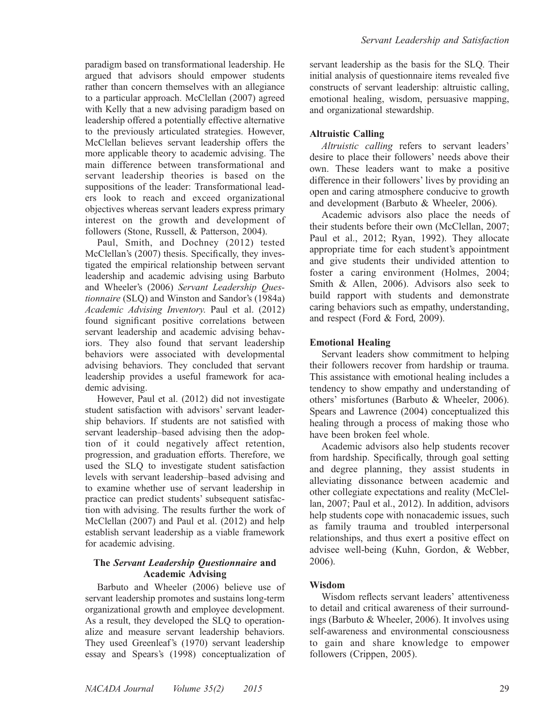paradigm based on transformational leadership. He argued that advisors should empower students rather than concern themselves with an allegiance to a particular approach. McClellan (2007) agreed with Kelly that a new advising paradigm based on leadership offered a potentially effective alternative to the previously articulated strategies. However, McClellan believes servant leadership offers the more applicable theory to academic advising. The main difference between transformational and servant leadership theories is based on the suppositions of the leader: Transformational leaders look to reach and exceed organizational objectives whereas servant leaders express primary interest on the growth and development of followers (Stone, Russell, & Patterson, 2004).

Paul, Smith, and Dochney (2012) tested McClellan's (2007) thesis. Specifically, they investigated the empirical relationship between servant leadership and academic advising using Barbuto and Wheeler's (2006) Servant Leadership Questionnaire (SLQ) and Winston and Sandor's (1984a) Academic Advising Inventory. Paul et al. (2012) found significant positive correlations between servant leadership and academic advising behaviors. They also found that servant leadership behaviors were associated with developmental advising behaviors. They concluded that servant leadership provides a useful framework for academic advising.

However, Paul et al. (2012) did not investigate student satisfaction with advisors' servant leadership behaviors. If students are not satisfied with servant leadership–based advising then the adoption of it could negatively affect retention, progression, and graduation efforts. Therefore, we used the SLQ to investigate student satisfaction levels with servant leadership–based advising and to examine whether use of servant leadership in practice can predict students' subsequent satisfaction with advising. The results further the work of McClellan (2007) and Paul et al. (2012) and help establish servant leadership as a viable framework for academic advising.

# The Servant Leadership Questionnaire and Academic Advising

Barbuto and Wheeler (2006) believe use of servant leadership promotes and sustains long-term organizational growth and employee development. As a result, they developed the SLQ to operationalize and measure servant leadership behaviors. They used Greenleaf's (1970) servant leadership essay and Spears's (1998) conceptualization of servant leadership as the basis for the SLQ. Their initial analysis of questionnaire items revealed five constructs of servant leadership: altruistic calling, emotional healing, wisdom, persuasive mapping, and organizational stewardship.

# Altruistic Calling

Altruistic calling refers to servant leaders' desire to place their followers' needs above their own. These leaders want to make a positive difference in their followers' lives by providing an open and caring atmosphere conducive to growth and development (Barbuto & Wheeler, 2006).

Academic advisors also place the needs of their students before their own (McClellan, 2007; Paul et al., 2012; Ryan, 1992). They allocate appropriate time for each student's appointment and give students their undivided attention to foster a caring environment (Holmes, 2004; Smith & Allen, 2006). Advisors also seek to build rapport with students and demonstrate caring behaviors such as empathy, understanding, and respect (Ford & Ford, 2009).

# Emotional Healing

Servant leaders show commitment to helping their followers recover from hardship or trauma. This assistance with emotional healing includes a tendency to show empathy and understanding of others' misfortunes (Barbuto & Wheeler, 2006). Spears and Lawrence (2004) conceptualized this healing through a process of making those who have been broken feel whole.

Academic advisors also help students recover from hardship. Specifically, through goal setting and degree planning, they assist students in alleviating dissonance between academic and other collegiate expectations and reality (McClellan, 2007; Paul et al., 2012). In addition, advisors help students cope with nonacademic issues, such as family trauma and troubled interpersonal relationships, and thus exert a positive effect on advisee well-being (Kuhn, Gordon, & Webber, 2006).

# Wisdom

Wisdom reflects servant leaders' attentiveness to detail and critical awareness of their surroundings (Barbuto & Wheeler, 2006). It involves using self-awareness and environmental consciousness to gain and share knowledge to empower followers (Crippen, 2005).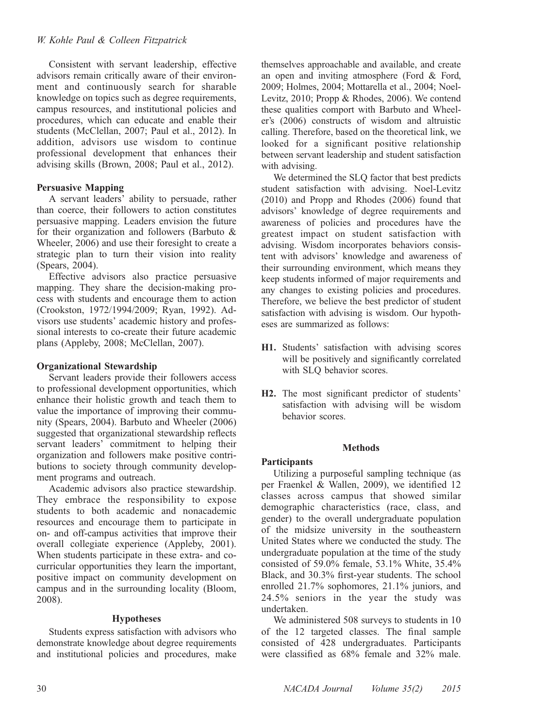# W. Kohle Paul & Colleen Fitzpatrick

Consistent with servant leadership, effective advisors remain critically aware of their environment and continuously search for sharable knowledge on topics such as degree requirements, campus resources, and institutional policies and procedures, which can educate and enable their students (McClellan, 2007; Paul et al., 2012). In addition, advisors use wisdom to continue professional development that enhances their advising skills (Brown, 2008; Paul et al., 2012).

# Persuasive Mapping

A servant leaders' ability to persuade, rather than coerce, their followers to action constitutes persuasive mapping. Leaders envision the future for their organization and followers (Barbuto & Wheeler, 2006) and use their foresight to create a strategic plan to turn their vision into reality (Spears, 2004).

Effective advisors also practice persuasive mapping. They share the decision-making process with students and encourage them to action (Crookston, 1972/1994/2009; Ryan, 1992). Advisors use students' academic history and professional interests to co-create their future academic plans (Appleby, 2008; McClellan, 2007).

# Organizational Stewardship

Servant leaders provide their followers access to professional development opportunities, which enhance their holistic growth and teach them to value the importance of improving their community (Spears, 2004). Barbuto and Wheeler (2006) suggested that organizational stewardship reflects servant leaders' commitment to helping their organization and followers make positive contributions to society through community development programs and outreach.

Academic advisors also practice stewardship. They embrace the responsibility to expose students to both academic and nonacademic resources and encourage them to participate in on- and off-campus activities that improve their overall collegiate experience (Appleby, 2001). When students participate in these extra- and cocurricular opportunities they learn the important, positive impact on community development on campus and in the surrounding locality (Bloom, 2008).

# Hypotheses

Students express satisfaction with advisors who demonstrate knowledge about degree requirements and institutional policies and procedures, make themselves approachable and available, and create an open and inviting atmosphere (Ford & Ford, 2009; Holmes, 2004; Mottarella et al., 2004; Noel-Levitz, 2010; Propp & Rhodes, 2006). We contend these qualities comport with Barbuto and Wheeler's (2006) constructs of wisdom and altruistic calling. Therefore, based on the theoretical link, we looked for a significant positive relationship between servant leadership and student satisfaction with advising.

We determined the SLQ factor that best predicts student satisfaction with advising. Noel-Levitz (2010) and Propp and Rhodes (2006) found that advisors' knowledge of degree requirements and awareness of policies and procedures have the greatest impact on student satisfaction with advising. Wisdom incorporates behaviors consistent with advisors' knowledge and awareness of their surrounding environment, which means they keep students informed of major requirements and any changes to existing policies and procedures. Therefore, we believe the best predictor of student satisfaction with advising is wisdom. Our hypotheses are summarized as follows:

- H1. Students' satisfaction with advising scores will be positively and significantly correlated with SLQ behavior scores.
- H2. The most significant predictor of students' satisfaction with advising will be wisdom behavior scores.

#### Methods

# **Participants**

Utilizing a purposeful sampling technique (as per Fraenkel & Wallen, 2009), we identified 12 classes across campus that showed similar demographic characteristics (race, class, and gender) to the overall undergraduate population of the midsize university in the southeastern United States where we conducted the study. The undergraduate population at the time of the study consisted of 59.0% female, 53.1% White, 35.4% Black, and 30.3% first-year students. The school enrolled 21.7% sophomores, 21.1% juniors, and 24.5% seniors in the year the study was undertaken.

We administered 508 surveys to students in 10 of the 12 targeted classes. The final sample consisted of 428 undergraduates. Participants were classified as 68% female and 32% male.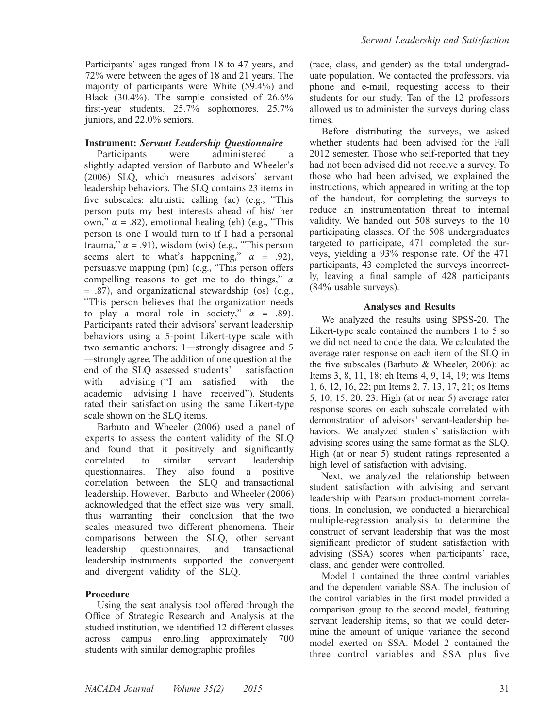Participants' ages ranged from 18 to 47 years, and 72% were between the ages of 18 and 21 years. The majority of participants were White (59.4%) and Black (30.4%). The sample consisted of 26.6% first-year students, 25.7% sophomores, 25.7% juniors, and 22.0% seniors.

# **Instrument: Servant Leadership Questionnaire**<br>Participants were administered

administered a slightly adapted version of Barbuto and Wheeler's (2006) SLQ, which measures advisors' servant leadership behaviors. The SLQ contains 23 items in five subscales: altruistic calling (ac) (e.g., ''This person puts my best interests ahead of his/ her own,'' *α* = .82), emotional healing (eh) (e.g., ''This person is one I would turn to if I had a personal trauma,'' *α* = .91), wisdom (wis) (e.g., ''This person seems alert to what's happening,"  $\alpha = .92$ ), persuasive mapping (pm) (e.g., "This person offers compelling reasons to get me to do things,'' *α* = .87), and organizational stewardship (os) (e.g., ''This person believes that the organization needs to play a moral role in society,"  $\alpha$  = .89). Participants rated their advisors' servant leadership behaviors using a 5-point Likert-type scale with two semantic anchors: 1—strongly disagree and 5 —strongly agree. The addition of one question at the end of the SLQ assessed students' with advising ("I am satisfied with the academic advising I have received''). Students rated their satisfaction using the same Likert-type scale shown on the SLQ items.

Barbuto and Wheeler (2006) used a panel of experts to assess the content validity of the SLQ and found that it positively and significantly<br>correlated to similar servant leadership correlated to similar servant leadership questionnaires. They also found a positive correlation between the SLQ and transactional leadership. However, Barbuto and Wheeler (2006) acknowledged that the effect size was very small, thus warranting their conclusion that the two scales measured two different phenomena. Their comparisons between the SLQ, other servant leadership questionnaires, and transactional leadership instruments supported the convergent and divergent validity of the SLQ.

#### Procedure

Using the seat analysis tool offered through the Office of Strategic Research and Analysis at the studied institution, we identified 12 different classes across campus enrolling approximately 700 students with similar demographic profiles

(race, class, and gender) as the total undergraduate population. We contacted the professors, via phone and e-mail, requesting access to their students for our study. Ten of the 12 professors allowed us to administer the surveys during class times.

Before distributing the surveys, we asked whether students had been advised for the Fall 2012 semester. Those who self-reported that they had not been advised did not receive a survey. To those who had been advised, we explained the instructions, which appeared in writing at the top of the handout, for completing the surveys to reduce an instrumentation threat to internal validity. We handed out 508 surveys to the 10 participating classes. Of the 508 undergraduates targeted to participate, 471 completed the surveys, yielding a 93% response rate. Of the 471 participants, 43 completed the surveys incorrectly, leaving a final sample of 428 participants (84% usable surveys).

#### Analyses and Results

We analyzed the results using SPSS-20. The Likert-type scale contained the numbers 1 to 5 so we did not need to code the data. We calculated the average rater response on each item of the SLQ in the five subscales (Barbuto & Wheeler, 2006): ac Items 3, 8, 11, 18; eh Items 4, 9, 14, 19; wis Items 1, 6, 12, 16, 22; pm Items 2, 7, 13, 17, 21; os Items 5, 10, 15, 20, 23. High (at or near 5) average rater response scores on each subscale correlated with demonstration of advisors' servant-leadership behaviors. We analyzed students' satisfaction with advising scores using the same format as the SLQ. High (at or near 5) student ratings represented a high level of satisfaction with advising.

Next, we analyzed the relationship between student satisfaction with advising and servant leadership with Pearson product-moment correlations. In conclusion, we conducted a hierarchical multiple-regression analysis to determine the construct of servant leadership that was the most significant predictor of student satisfaction with advising (SSA) scores when participants' race, class, and gender were controlled.

Model 1 contained the three control variables and the dependent variable SSA. The inclusion of the control variables in the first model provided a comparison group to the second model, featuring servant leadership items, so that we could determine the amount of unique variance the second model exerted on SSA. Model 2 contained the three control variables and SSA plus five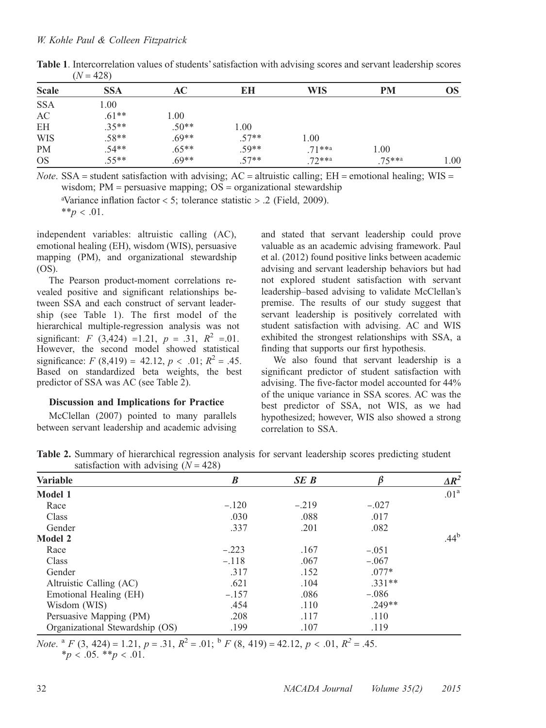| <b>Scale</b> | <b>SSA</b> | AC      | EН      | WIS        | PM         | <b>OS</b> |
|--------------|------------|---------|---------|------------|------------|-----------|
| <b>SSA</b>   | 1.00       |         |         |            |            |           |
| AC           | $.61**$    | 1.00    |         |            |            |           |
| <b>EH</b>    | $.35**$    | $.50**$ | 1.00    |            |            |           |
| <b>WIS</b>   | $.58**$    | $.69**$ | $.57**$ | 1.00       |            |           |
| <b>PM</b>    | $.54**$    | $.65**$ | $.59**$ | $.71***$   | 1.00       |           |
| <b>OS</b>    | $.55**$    | $.69**$ | $.57**$ | $.72***$ a | $.75***$ a | 1.00      |

Table 1. Intercorrelation values of students'satisfaction with advising scores and servant leadership scores  $(N = 428)$ 

*Note.* SSA = student satisfaction with advising;  $AC =$  altruistic calling;  $EH =$  emotional healing;  $WIS =$ wisdom;  $PM =$  persuasive mapping;  $OS =$  organizational stewardship

<sup>a</sup>Variance inflation factor < 5; tolerance statistic > .2 (Field, 2009).

\*\* $p < .01$ .

independent variables: altruistic calling (AC), emotional healing (EH), wisdom (WIS), persuasive mapping (PM), and organizational stewardship (OS).

The Pearson product-moment correlations revealed positive and significant relationships between SSA and each construct of servant leadership (see Table 1). The first model of the hierarchical multiple-regression analysis was not significant: F (3,424) =1.21,  $p = .31$ ,  $R^2 = .01$ . However, the second model showed statistical significance:  $F(8,419) = 42.12, p < .01; R^2 = .45.$ Based on standardized beta weights, the best predictor of SSA was AC (see Table 2).

# Discussion and Implications for Practice

McClellan (2007) pointed to many parallels between servant leadership and academic advising and stated that servant leadership could prove valuable as an academic advising framework. Paul et al. (2012) found positive links between academic advising and servant leadership behaviors but had not explored student satisfaction with servant leadership–based advising to validate McClellan's premise. The results of our study suggest that servant leadership is positively correlated with student satisfaction with advising. AC and WIS exhibited the strongest relationships with SSA, a finding that supports our first hypothesis.

We also found that servant leadership is a significant predictor of student satisfaction with advising. The five-factor model accounted for 44% of the unique variance in SSA scores. AC was the best predictor of SSA, not WIS, as we had hypothesized; however, WIS also showed a strong correlation to SSA.

Table 2. Summary of hierarchical regression analysis for servant leadership scores predicting student satisfaction with advising  $(N = 428)$ 

| $\sim$ $\sim$                   |         |             |          |                  |
|---------------------------------|---------|-------------|----------|------------------|
| <b>Variable</b>                 | B       | <b>SE</b> B |          | $\Delta R^2$     |
| Model 1                         |         |             |          | .01 <sup>a</sup> |
| Race                            | $-.120$ | $-.219$     | $-.027$  |                  |
| <b>Class</b>                    | .030    | .088        | .017     |                  |
| Gender                          | .337    | .201        | .082     |                  |
| <b>Model 2</b>                  |         |             |          | .44 <sup>b</sup> |
| Race                            | $-.223$ | .167        | $-.051$  |                  |
| Class                           | $-.118$ | .067        | $-.067$  |                  |
| Gender                          | .317    | .152        | $.077*$  |                  |
| Altruistic Calling (AC)         | .621    | .104        | $.331**$ |                  |
| Emotional Healing (EH)          | $-.157$ | .086        | $-.086$  |                  |
| Wisdom (WIS)                    | .454    | .110        | $.249**$ |                  |
| Persuasive Mapping (PM)         | .208    | .117        | .110     |                  |
| Organizational Stewardship (OS) | .199    | .107        | .119     |                  |
|                                 |         |             |          |                  |

Note.  ${}^{a}F(3, 424) = 1.21$ ,  $p = .31$ ,  $R^{2} = .01$ ;  ${}^{b}F(8, 419) = 42.12$ ,  $p < .01$ ,  $R^{2} = .45$ .  $*_p$  < .05.  $*_p$  < .01.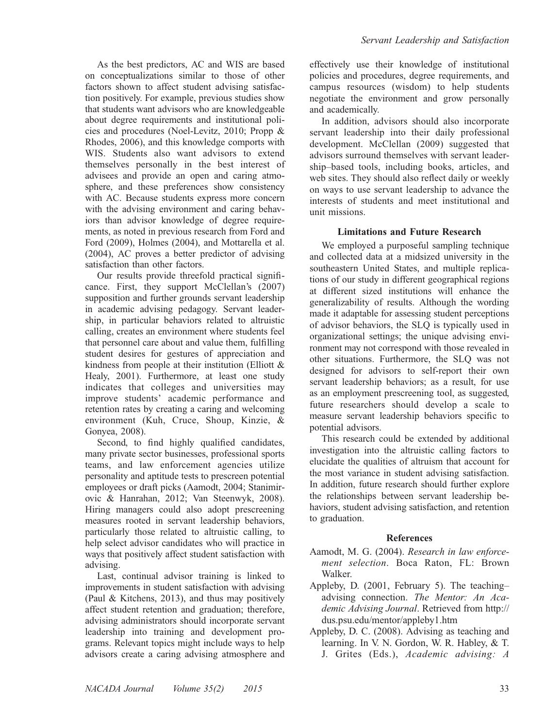As the best predictors, AC and WIS are based on conceptualizations similar to those of other factors shown to affect student advising satisfaction positively. For example, previous studies show that students want advisors who are knowledgeable about degree requirements and institutional policies and procedures (Noel-Levitz, 2010; Propp & Rhodes, 2006), and this knowledge comports with WIS. Students also want advisors to extend themselves personally in the best interest of advisees and provide an open and caring atmosphere, and these preferences show consistency with AC. Because students express more concern with the advising environment and caring behaviors than advisor knowledge of degree requirements, as noted in previous research from Ford and Ford (2009), Holmes (2004), and Mottarella et al. (2004), AC proves a better predictor of advising satisfaction than other factors.

Our results provide threefold practical significance. First, they support McClellan's (2007) supposition and further grounds servant leadership in academic advising pedagogy. Servant leadership, in particular behaviors related to altruistic calling, creates an environment where students feel that personnel care about and value them, fulfilling student desires for gestures of appreciation and kindness from people at their institution (Elliott & Healy, 2001). Furthermore, at least one study indicates that colleges and universities may improve students' academic performance and retention rates by creating a caring and welcoming environment (Kuh, Cruce, Shoup, Kinzie, & Gonyea, 2008).

Second, to find highly qualified candidates, many private sector businesses, professional sports teams, and law enforcement agencies utilize personality and aptitude tests to prescreen potential employees or draft picks (Aamodt, 2004; Stanimirovic & Hanrahan, 2012; Van Steenwyk, 2008). Hiring managers could also adopt prescreening measures rooted in servant leadership behaviors, particularly those related to altruistic calling, to help select advisor candidates who will practice in ways that positively affect student satisfaction with advising.

Last, continual advisor training is linked to improvements in student satisfaction with advising (Paul & Kitchens, 2013), and thus may positively affect student retention and graduation; therefore, advising administrators should incorporate servant leadership into training and development programs. Relevant topics might include ways to help advisors create a caring advising atmosphere and

effectively use their knowledge of institutional policies and procedures, degree requirements, and campus resources (wisdom) to help students negotiate the environment and grow personally and academically.

In addition, advisors should also incorporate servant leadership into their daily professional development. McClellan (2009) suggested that advisors surround themselves with servant leadership–based tools, including books, articles, and web sites. They should also reflect daily or weekly on ways to use servant leadership to advance the interests of students and meet institutional and unit missions.

# Limitations and Future Research

We employed a purposeful sampling technique and collected data at a midsized university in the southeastern United States, and multiple replications of our study in different geographical regions at different sized institutions will enhance the generalizability of results. Although the wording made it adaptable for assessing student perceptions of advisor behaviors, the SLQ is typically used in organizational settings; the unique advising environment may not correspond with those revealed in other situations. Furthermore, the SLQ was not designed for advisors to self-report their own servant leadership behaviors; as a result, for use as an employment prescreening tool, as suggested, future researchers should develop a scale to measure servant leadership behaviors specific to potential advisors.

This research could be extended by additional investigation into the altruistic calling factors to elucidate the qualities of altruism that account for the most variance in student advising satisfaction. In addition, future research should further explore the relationships between servant leadership behaviors, student advising satisfaction, and retention to graduation.

# References

- Aamodt, M. G. (2004). Research in law enforcement selection. Boca Raton, FL: Brown Walker.
- Appleby, D. (2001, February 5). The teaching– advising connection. The Mentor: An Academic Advising Journal. Retrieved from [http://](http://dus.psu.edu/mentor/appleby1.htm)  dus.psu.edu/mentor/appleby1.htm
- Appleby, D. C. (2008). Advising as teaching and learning. In V. N. Gordon, W. R. Habley, & T. J. Grites (Eds.), Academic advising: A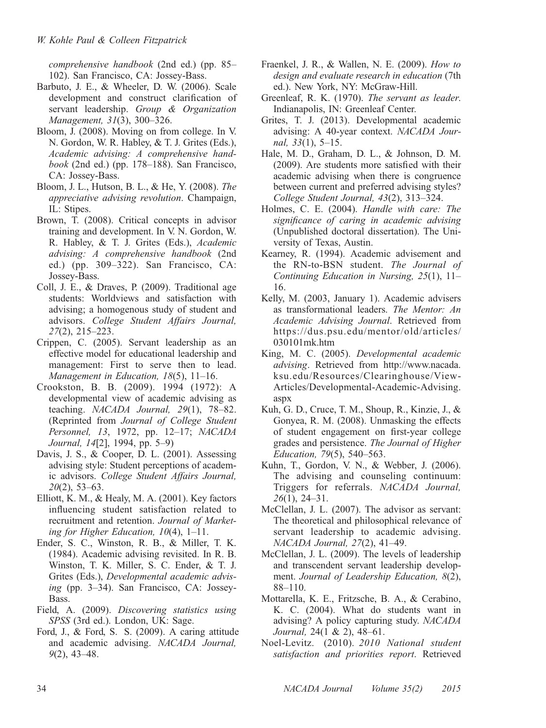comprehensive handbook (2nd ed.) (pp. 85– 102). San Francisco, CA: Jossey-Bass.

- Barbuto, J. E., & Wheeler, D. W. (2006). Scale development and construct clarification of servant leadership. Group & Organization Management, 31(3), 300–326.
- Bloom, J. (2008). Moving on from college. In V. N. Gordon, W. R. Habley, & T. J. Grites (Eds.), Academic advising: A comprehensive handbook (2nd ed.) (pp.  $178-188$ ). San Francisco, CA: Jossey-Bass.
- Bloom, J. L., Hutson, B. L., & He, Y. (2008). The appreciative advising revolution. Champaign, IL: Stipes.
- Brown, T. (2008). Critical concepts in advisor training and development. In V. N. Gordon, W. R. Habley, & T. J. Grites (Eds.), Academic advising: A comprehensive handbook (2nd ed.) (pp. 309–322). San Francisco, CA: Jossey-Bass.
- Coll, J. E., & Draves, P. (2009). Traditional age students: Worldviews and satisfaction with advising; a homogenous study of student and advisors. College Student Affairs Journal, 27(2), 215–223.
- Crippen, C. (2005). Servant leadership as an effective model for educational leadership and management: First to serve then to lead. Management in Education, 18(5), 11–16.
- Crookston, B. B. (2009). 1994 (1972): A developmental view of academic advising as teaching. NACADA Journal, 29(1), 78–82. (Reprinted from Journal of College Student Personnel, 13, 1972, pp. 12–17; NACADA Journal, 14[2], 1994, pp. 5–9)
- Davis, J. S., & Cooper, D. L. (2001). Assessing advising style: Student perceptions of academic advisors. College Student Affairs Journal,  $20(2)$ , 53–63.
- Elliott, K. M., & Healy, M. A. (2001). Key factors influencing student satisfaction related to recruitment and retention. Journal of Marketing for Higher Education, 10(4), 1–11.
- Ender, S. C., Winston, R. B., & Miller, T. K. (1984). Academic advising revisited. In R. B. Winston, T. K. Miller, S. C. Ender, & T. J. Grites (Eds.), Developmental academic advising (pp. 3–34). San Francisco, CA: Jossey-Bass.
- Field, A. (2009). Discovering statistics using SPSS (3rd ed.). London, UK: Sage.
- Ford, J., & Ford, S. S. (2009). A caring attitude and academic advising. NACADA Journal, 9(2), 43–48.
- Fraenkel, J. R., & Wallen, N. E. (2009). How to design and evaluate research in education (7th ed.). New York, NY: McGraw-Hill.
- Greenleaf, R. K. (1970). The servant as leader. Indianapolis, IN: Greenleaf Center.
- Grites, T. J. (2013). Developmental academic advising: A 40-year context. NACADA Journal, 33(1), 5–15.
- Hale, M. D., Graham, D. L., & Johnson, D. M. (2009). Are students more satisfied with their academic advising when there is congruence between current and preferred advising styles? College Student Journal, 43(2), 313–324.
- Holmes, C. E. (2004). Handle with care: The significance of caring in academic advising (Unpublished doctoral dissertation). The University of Texas, Austin.
- Kearney, R. (1994). Academic advisement and the RN-to-BSN student. The Journal of Continuing Education in Nursing, 25(1), 11– 16.
- Kelly, M. (2003, January 1). Academic advisers as transformational leaders. The Mentor: An Academic Advising Journal. Retrieved from https://dus.psu.edu/mentor/old/articles/ 030101mk.htm
- King, M. C. (2005). Developmental academic advising. Retrieved from http://www.nacada. ksu.edu/Resources/Clearinghouse/View-Articles/Developmental-Academic-Advising. aspx
- Kuh, G. D., Cruce, T. M., Shoup, R., Kinzie, J., & Gonyea, R. M. (2008). Unmasking the effects of student engagement on first-year college grades and persistence. The Journal of Higher Education, 79(5), 540–563.
- Kuhn, T., Gordon, V. N., & Webber, J. (2006). The advising and counseling continuum: Triggers for referrals. NACADA Journal, 26(1), 24–31.
- McClellan, J. L. (2007). The advisor as servant: The theoretical and philosophical relevance of servant leadership to academic advising. NACADA Journal, 27(2), 41–49.
- McClellan, J. L. (2009). The levels of leadership and transcendent servant leadership development. Journal of Leadership Education, 8(2), 88–110.
- Mottarella, K. E., Fritzsche, B. A., & Cerabino, K. C. (2004). What do students want in advising? A policy capturing study. NACADA Journal, 24(1 & 2), 48–61.
- Noel-Levitz. (2010). 2010 National student satisfaction and priorities report. Retrieved